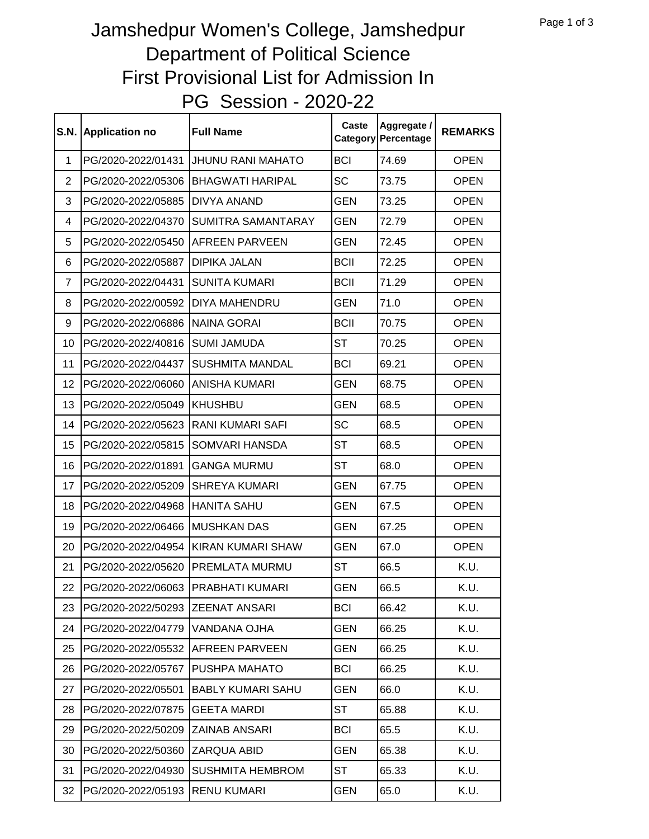## PG Session - 2020-22 Jamshedpur Women's College, Jamshedpur Department of Political Science First Provisional List for Admission In

| <b>S.N.</b>    | <b>Application no</b>                | <b>Full Name</b>         | Caste<br>Category | Aggregate /<br>Percentage | <b>REMARKS</b> |
|----------------|--------------------------------------|--------------------------|-------------------|---------------------------|----------------|
| 1              | PG/2020-2022/01431                   | <b>JHUNU RANI MAHATO</b> | <b>BCI</b>        | 74.69                     | <b>OPEN</b>    |
| $\overline{2}$ | PG/2020-2022/05306                   | <b>BHAGWATI HARIPAL</b>  | <b>SC</b>         | 73.75                     | <b>OPEN</b>    |
| 3              | PG/2020-2022/05885                   | <b>DIVYA ANAND</b>       | <b>GEN</b>        | 73.25                     | <b>OPEN</b>    |
| 4              | PG/2020-2022/04370                   | SUMITRA SAMANTARAY       | <b>GEN</b>        | 72.79                     | <b>OPEN</b>    |
| 5              | PG/2020-2022/05450                   | <b>AFREEN PARVEEN</b>    | <b>GEN</b>        | 72.45                     | <b>OPEN</b>    |
| 6              | PG/2020-2022/05887                   | <b>DIPIKA JALAN</b>      | <b>BCII</b>       | 72.25                     | <b>OPEN</b>    |
| $\overline{7}$ | PG/2020-2022/04431                   | <b>SUNITA KUMARI</b>     | <b>BCII</b>       | 71.29                     | <b>OPEN</b>    |
| 8              | PG/2020-2022/00592                   | DIYA MAHENDRU            | <b>GEN</b>        | 71.0                      | <b>OPEN</b>    |
| 9              | PG/2020-2022/06886                   | <b>NAINA GORAI</b>       | <b>BCII</b>       | 70.75                     | <b>OPEN</b>    |
| 10             | PG/2020-2022/40816                   | <b>SUMI JAMUDA</b>       | <b>ST</b>         | 70.25                     | <b>OPEN</b>    |
| 11             | PG/2020-2022/04437                   | <b>SUSHMITA MANDAL</b>   | <b>BCI</b>        | 69.21                     | <b>OPEN</b>    |
| 12             | PG/2020-2022/06060                   | <b>ANISHA KUMARI</b>     | <b>GEN</b>        | 68.75                     | <b>OPEN</b>    |
| 13             | PG/2020-2022/05049                   | <b>KHUSHBU</b>           | <b>GEN</b>        | 68.5                      | <b>OPEN</b>    |
| 14             | PG/2020-2022/05623                   | <b>RANI KUMARI SAFI</b>  | <b>SC</b>         | 68.5                      | <b>OPEN</b>    |
| 15             | PG/2020-2022/05815                   | SOMVARI HANSDA           | <b>ST</b>         | 68.5                      | <b>OPEN</b>    |
| 16             | PG/2020-2022/01891                   | <b>GANGA MURMU</b>       | <b>ST</b>         | 68.0                      | <b>OPEN</b>    |
| 17             | PG/2020-2022/05209                   | <b>SHREYA KUMARI</b>     | <b>GEN</b>        | 67.75                     | <b>OPEN</b>    |
| 18             | PG/2020-2022/04968                   | <b>HANITA SAHU</b>       | <b>GEN</b>        | 67.5                      | <b>OPEN</b>    |
| 19             | PG/2020-2022/06466                   | <b>MUSHKAN DAS</b>       | <b>GEN</b>        | 67.25                     | <b>OPEN</b>    |
| 20             | PG/2020-2022/04954                   | <b>KIRAN KUMARI SHAW</b> | <b>GEN</b>        | 67.0                      | <b>OPEN</b>    |
| 21             | PG/2020-2022/05620                   | PREMLATA MURMU           | <b>ST</b>         | 66.5                      | K.U.           |
| 22             | PG/2020-2022/06063   PRABHATI KUMARI |                          | <b>GEN</b>        | 66.5                      | K.U.           |
| 23             | PG/2020-2022/50293                   | <b>ZEENAT ANSARI</b>     | <b>BCI</b>        | 66.42                     | K.U.           |
| 24             | PG/2020-2022/04779                   | VANDANA OJHA             | <b>GEN</b>        | 66.25                     | K.U.           |
| 25             | PG/2020-2022/05532                   | <b>AFREEN PARVEEN</b>    | GEN               | 66.25                     | K.U.           |
| 26             | PG/2020-2022/05767                   | PUSHPA MAHATO            | <b>BCI</b>        | 66.25                     | K.U.           |
| 27             | PG/2020-2022/05501                   | <b>BABLY KUMARI SAHU</b> | <b>GEN</b>        | 66.0                      | K.U.           |
| 28             | PG/2020-2022/07875                   | <b>GEETA MARDI</b>       | <b>ST</b>         | 65.88                     | K.U.           |
| 29             | PG/2020-2022/50209                   | <b>ZAINAB ANSARI</b>     | <b>BCI</b>        | 65.5                      | K.U.           |
| 30             | PG/2020-2022/50360                   | ZARQUA ABID              | GEN               | 65.38                     | K.U.           |
| 31             | PG/2020-2022/04930                   | <b>SUSHMITA HEMBROM</b>  | ST                | 65.33                     | K.U.           |
| 32             | PG/2020-2022/05193                   | <b>RENU KUMARI</b>       | <b>GEN</b>        | 65.0                      | K.U.           |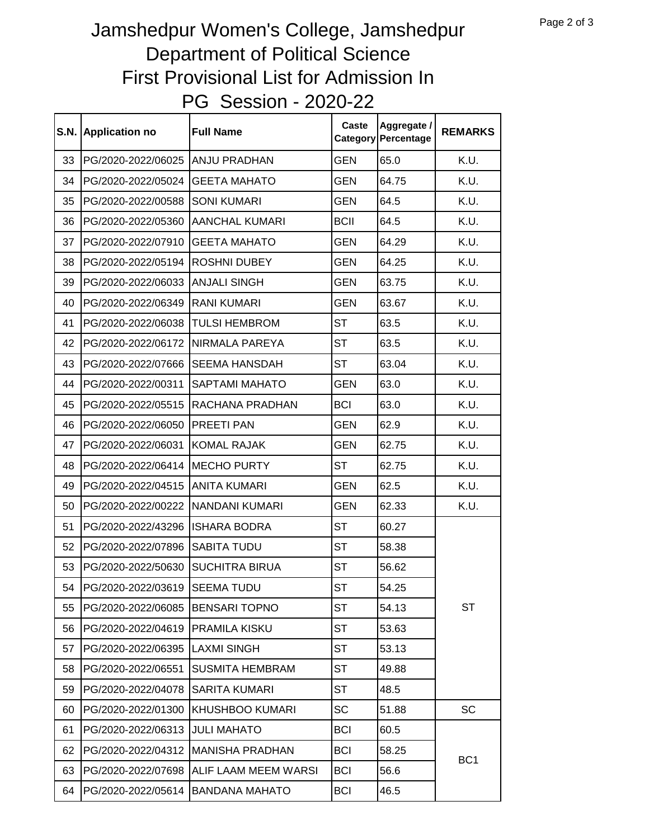## PG Session - 2020-22 Jamshedpur Women's College, Jamshedpur Department of Political Science First Provisional List for Admission In

| <b>S.N.</b> | <b>Application no</b> | <b>Full Name</b>       | Caste       | Aggregate /<br>Category Percentage | <b>REMARKS</b>  |
|-------------|-----------------------|------------------------|-------------|------------------------------------|-----------------|
| 33          | PG/2020-2022/06025    | ANJU PRADHAN           | <b>GEN</b>  | 65.0                               | K.U.            |
| 34          | PG/2020-2022/05024    | <b>GEETA MAHATO</b>    | <b>GEN</b>  | 64.75                              | K.U.            |
| 35          | PG/2020-2022/00588    | <b>SONI KUMARI</b>     | <b>GEN</b>  | 64.5                               | K.U.            |
| 36          | PG/2020-2022/05360    | <b>AANCHAL KUMARI</b>  | <b>BCII</b> | 64.5                               | K.U.            |
| 37          | PG/2020-2022/07910    | <b>GEETA MAHATO</b>    | GEN         | 64.29                              | K.U.            |
| 38          | PG/2020-2022/05194    | <b>ROSHNI DUBEY</b>    | <b>GEN</b>  | 64.25                              | K.U.            |
| 39          | PG/2020-2022/06033    | <b>ANJALI SINGH</b>    | <b>GEN</b>  | 63.75                              | K.U.            |
| 40          | PG/2020-2022/06349    | <b>RANI KUMARI</b>     | <b>GEN</b>  | 63.67                              | K.U.            |
| 41          | PG/2020-2022/06038    | <b>TULSI HEMBROM</b>   | <b>ST</b>   | 63.5                               | K.U.            |
| 42          | PG/2020-2022/06172    | NIRMALA PAREYA         | <b>ST</b>   | 63.5                               | K.U.            |
| 43          | PG/2020-2022/07666    | <b>SEEMA HANSDAH</b>   | <b>ST</b>   | 63.04                              | K.U.            |
| 44          | PG/2020-2022/00311    | <b>SAPTAMI MAHATO</b>  | <b>GEN</b>  | 63.0                               | K.U.            |
| 45          | PG/2020-2022/05515    | RACHANA PRADHAN        | <b>BCI</b>  | 63.0                               | K.U.            |
| 46          | PG/2020-2022/06050    | PREETI PAN             | <b>GEN</b>  | 62.9                               | K.U.            |
| 47          | PG/2020-2022/06031    | <b>KOMAL RAJAK</b>     | GEN         | 62.75                              | K.U.            |
| 48          | PG/2020-2022/06414    | <b>MECHO PURTY</b>     | <b>ST</b>   | 62.75                              | K.U.            |
| 49          | PG/2020-2022/04515    | <b>ANITA KUMARI</b>    | <b>GEN</b>  | 62.5                               | K.U.            |
| 50          | PG/2020-2022/00222    | <b>NANDANI KUMARI</b>  | <b>GEN</b>  | 62.33                              | K.U.            |
| 51          | PG/2020-2022/43296    | <b>ISHARA BODRA</b>    | <b>ST</b>   | 60.27                              | <b>ST</b>       |
| 52          | PG/2020-2022/07896    | <b>SABITA TUDU</b>     | ST          | 58.38                              |                 |
| 53          | PG/2020-2022/50630    | <b>SUCHITRA BIRUA</b>  | <b>ST</b>   | 56.62                              |                 |
| 54          | PG/2020-2022/03619    | <b>SEEMA TUDU</b>      | ST          | 54.25                              |                 |
| 55          | PG/2020-2022/06085    | <b>BENSARI TOPNO</b>   | <b>ST</b>   | 54.13                              |                 |
| 56          | PG/2020-2022/04619    | <b>PRAMILA KISKU</b>   | ST          | 53.63                              |                 |
| 57          | PG/2020-2022/06395    | <b>LAXMI SINGH</b>     | ST          | 53.13                              |                 |
| 58          | PG/2020-2022/06551    | <b>SUSMITA HEMBRAM</b> | ST          | 49.88                              |                 |
| 59          | PG/2020-2022/04078    | <b>SARITA KUMARI</b>   | ST          | 48.5                               |                 |
| 60          | PG/2020-2022/01300    | <b>KHUSHBOO KUMARI</b> | SC          | 51.88                              | SC              |
| 61          | PG/2020-2022/06313    | <b>JULI MAHATO</b>     | <b>BCI</b>  | 60.5                               | BC <sub>1</sub> |
| 62          | PG/2020-2022/04312    | <b>MANISHA PRADHAN</b> | <b>BCI</b>  | 58.25                              |                 |
| 63          | PG/2020-2022/07698    | ALIF LAAM MEEM WARSI   | <b>BCI</b>  | 56.6                               |                 |
| 64          | PG/2020-2022/05614    | <b>BANDANA MAHATO</b>  | <b>BCI</b>  | 46.5                               |                 |